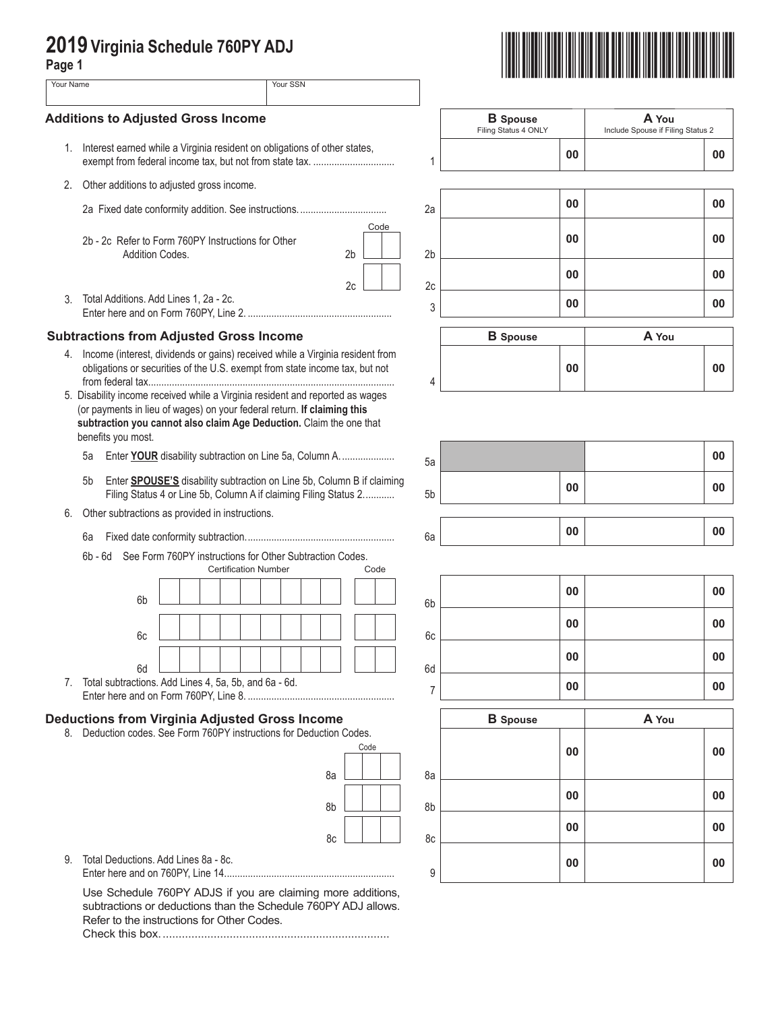| . .<br>۰.<br>v<br>× |  |
|---------------------|--|

| 2019 Virginia Schedule 760PY ADJ<br>Page 1 |                                                                                                                                                                      |                                                                                                                                            |                                         |                                            |       |  |  |
|--------------------------------------------|----------------------------------------------------------------------------------------------------------------------------------------------------------------------|--------------------------------------------------------------------------------------------------------------------------------------------|-----------------------------------------|--------------------------------------------|-------|--|--|
|                                            | Your SSN<br>Your Name                                                                                                                                                |                                                                                                                                            |                                         |                                            |       |  |  |
| <b>Additions to Adjusted Gross Income</b>  |                                                                                                                                                                      |                                                                                                                                            | <b>B</b> Spouse<br>Filing Status 4 ONLY | A You<br>Include Spouse if Filing Status 2 |       |  |  |
| 1.                                         | Interest earned while a Virginia resident on obligations of other states,                                                                                            | exempt from federal income tax, but not from state tax.                                                                                    | 1                                       | 00                                         | 00    |  |  |
| 2.                                         | Other additions to adjusted gross income.                                                                                                                            |                                                                                                                                            |                                         |                                            |       |  |  |
|                                            |                                                                                                                                                                      |                                                                                                                                            | 2a                                      | 00                                         | 00    |  |  |
|                                            | 2b - 2c Refer to Form 760PY Instructions for Other<br>Addition Codes.                                                                                                | Code<br>2 <sub>b</sub>                                                                                                                     | 2 <sub>b</sub>                          | 00                                         | 00    |  |  |
|                                            |                                                                                                                                                                      | 2c                                                                                                                                         | 2c                                      | 00                                         | 00    |  |  |
| 3.                                         | Total Additions. Add Lines 1, 2a - 2c.                                                                                                                               |                                                                                                                                            | 3                                       | 00                                         | 00    |  |  |
|                                            | <b>Subtractions from Adjusted Gross Income</b>                                                                                                                       |                                                                                                                                            |                                         | <b>B</b> Spouse                            | A You |  |  |
|                                            | 4. Income (interest, dividends or gains) received while a Virginia resident from                                                                                     |                                                                                                                                            |                                         |                                            |       |  |  |
|                                            |                                                                                                                                                                      | obligations or securities of the U.S. exempt from state income tax, but not                                                                | 4                                       | 00                                         | 00    |  |  |
|                                            | (or payments in lieu of wages) on your federal return. If claiming this<br>subtraction you cannot also claim Age Deduction. Claim the one that<br>benefits you most. |                                                                                                                                            |                                         |                                            |       |  |  |
|                                            | 5a                                                                                                                                                                   | Enter YOUR disability subtraction on Line 5a, Column A.                                                                                    | 5a                                      |                                            | 00    |  |  |
|                                            | 5 <sub>b</sub>                                                                                                                                                       | Enter SPOUSE'S disability subtraction on Line 5b, Column B if claiming<br>Filing Status 4 or Line 5b, Column A if claiming Filing Status 2 | 5 <sub>b</sub>                          | 00                                         | 00    |  |  |
| 6.                                         | Other subtractions as provided in instructions.<br>6a                                                                                                                |                                                                                                                                            | 6a                                      | 00                                         | 00    |  |  |
|                                            | 6b - 6d                                                                                                                                                              | See Form 760PY instructions for Other Subtraction Codes.                                                                                   |                                         |                                            |       |  |  |
|                                            |                                                                                                                                                                      | <b>Certification Number</b><br>Code                                                                                                        |                                         | 00                                         |       |  |  |
|                                            | 6b                                                                                                                                                                   |                                                                                                                                            | 6b                                      |                                            | 00    |  |  |
|                                            | 6c                                                                                                                                                                   |                                                                                                                                            | 6c                                      | 00                                         | 00    |  |  |
|                                            |                                                                                                                                                                      |                                                                                                                                            |                                         | 00                                         | 00    |  |  |
|                                            | 6d<br>7. Total subtractions. Add Lines 4, 5a, 5b, and 6a - 6d.                                                                                                       |                                                                                                                                            | 6d<br>7                                 | 00                                         | 00    |  |  |
|                                            | <b>Deductions from Virginia Adjusted Gross Income</b>                                                                                                                |                                                                                                                                            |                                         | <b>B</b> Spouse                            | A You |  |  |
| 8.                                         | Deduction codes. See Form 760PY instructions for Deduction Codes.                                                                                                    |                                                                                                                                            |                                         |                                            |       |  |  |
|                                            |                                                                                                                                                                      | Code                                                                                                                                       |                                         | 00                                         | 00    |  |  |
|                                            |                                                                                                                                                                      | 8a                                                                                                                                         | 8a                                      |                                            |       |  |  |
|                                            |                                                                                                                                                                      | 8b                                                                                                                                         | 8b                                      | 00                                         | 00    |  |  |
|                                            |                                                                                                                                                                      | 8c                                                                                                                                         | 8c                                      | 00                                         | 00    |  |  |
| 9.                                         | Total Deductions, Add Lines 8a - 8c.                                                                                                                                 |                                                                                                                                            | 9                                       | 00                                         | 00    |  |  |
|                                            | Refer to the instructions for Other Codes.                                                                                                                           | Use Schedule 760PY ADJS if you are claiming more additions,<br>subtractions or deductions than the Schedule 760PY ADJ allows.              |                                         |                                            |       |  |  |